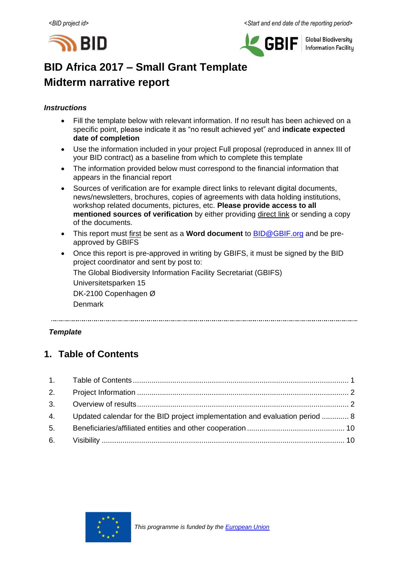



**Global Biodiversity Information Facility** 

# **BID Africa 2017 – Small Grant Template Midterm narrative report**

## *Instructions*

- Fill the template below with relevant information. If no result has been achieved on a specific point, please indicate it as "no result achieved yet" and **indicate expected date of completion**
- Use the information included in your project Full proposal (reproduced in annex III of your BID contract) as a baseline from which to complete this template
- The information provided below must correspond to the financial information that appears in the financial report
- Sources of verification are for example direct links to relevant digital documents, news/newsletters, brochures, copies of agreements with data holding institutions, workshop related documents, pictures, etc. **Please provide access to all mentioned sources of verification** by either providing direct link or sending a copy of the documents.
- This report must first be sent as a **Word document** to [BID@GBIF.org](mailto:BID@GBIF.org) and be preapproved by GBIFS
- Once this report is pre-approved in writing by GBIFS, it must be signed by the BID project coordinator and sent by post to:

The Global Biodiversity Information Facility Secretariat (GBIFS)

Universitetsparken 15

DK-2100 Copenhagen Ø

Denmark

## *Template*

# <span id="page-0-0"></span>**1. Table of Contents**

| 4. Updated calendar for the BID project implementation and evaluation period  8 |  |
|---------------------------------------------------------------------------------|--|
|                                                                                 |  |
|                                                                                 |  |

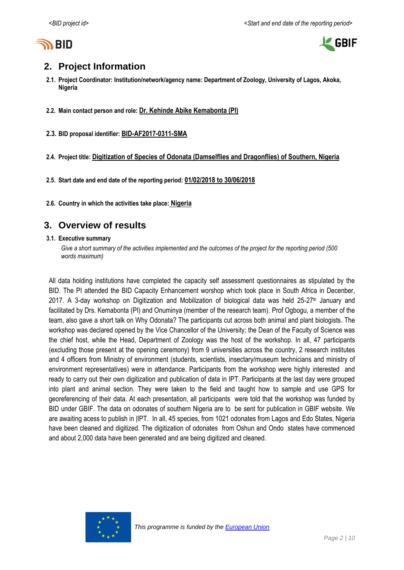



# <span id="page-1-0"></span>**2. Project Information**

- **2.1. Project Coordinator: Institution/network/agency name: Department of Zoology, University of Lagos, Akoka, Nigeria**
- **2.2. Main contact person and role: Dr. Kehinde Abike Kemabonta (PI)**
- **2.3. BID proposal identifier: BID-AF2017-0311-SMA**
- **2.4. Project title: Digitization of Species of Odonata (Damselflies and Dragonflies) of Southern, Nigeria**
- **2.5. Start date and end date of the reporting period: 01/02/2018 to 30/06/2018**
- <span id="page-1-1"></span>**2.6. Country in which the activities take place: Nigeria**

## **3. Overview of results**

#### **3.1. Executive summary**

Give a short summary of the activities implemented and the outcomes of the project for the *reporting period* (500 *words maximum)*

All data holding institutions have completed the capacity self assessment questionnaires as stipulated by the BID. The PI attended the BID Capacity Enhancement worshop which took place in South Africa in Decenber, 2017. A 3-day workshop on Digitization and Mobilization of biological data was held  $25-27$ <sup>th</sup> January and facilitated by Drs. Kemabonta (PI) and Onuminya (member of the research team). Prof Ogbogu, a member of the team, also gave a short talk on Why Odonata? The participants cut across both animal and plant biologists. The workshop was declared opened by the Vice Chancellor of the University; the Dean of the Faculty of Science was the chief host, while the Head, Department of Zoology was the host of the workshop. In all, 47 participants (excluding those present at the opening ceremony) from 9 universities across the country, 2 research institutes and 4 officers from Ministry of environment (students, scientists, insectary/museum technicians and ministry of environment representatives) were in attendance. Participants from the workshop were highly interested and ready to carry out their own digitization and publication of data in IPT. Participants at the last day were grouped into plant and animal section. They were taken to the field and taught how to sample and use GPS for georeferencing of their data. At each presentation, all participants were told that the workshop was funded by BID under GBIF. The data on odonates of southern Nigeria are to be sent for publication in GBIF website. We are awaiting acess to publish in |IPT. In all, 45 species, from 1021 odonates from Lagos and Edo States, Nigeria have been cleaned and digitized. The digitization of odonates from Oshun and Ondo states have commenced and about 2,000 data have been generated and are being digitized and cleaned.

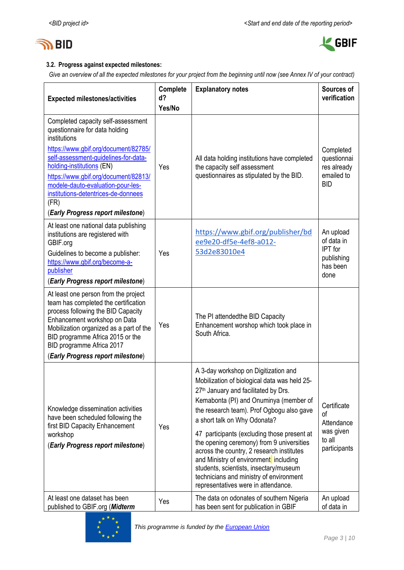



## **3.2. Progress against expected milestones:**

*Give an overview of all the expected milestones for your project from the beginning until now (see Annex IV of your contract)*

| <b>Expected milestones/activities</b>                                                                                                                                                                                                                                                                                                                              | Complete<br>d? | <b>Explanatory notes</b>                                                                                                                                                                                                                                                                                                                                                                                                                                                                                                                                                      | Sources of<br>verification                                                  |
|--------------------------------------------------------------------------------------------------------------------------------------------------------------------------------------------------------------------------------------------------------------------------------------------------------------------------------------------------------------------|----------------|-------------------------------------------------------------------------------------------------------------------------------------------------------------------------------------------------------------------------------------------------------------------------------------------------------------------------------------------------------------------------------------------------------------------------------------------------------------------------------------------------------------------------------------------------------------------------------|-----------------------------------------------------------------------------|
|                                                                                                                                                                                                                                                                                                                                                                    | Yes/No         |                                                                                                                                                                                                                                                                                                                                                                                                                                                                                                                                                                               |                                                                             |
| Completed capacity self-assessment<br>questionnaire for data holding<br>institutions<br>https://www.gbif.org/document/82785/<br>self-assessment-quidelines-for-data-<br>holding-institutions (EN)<br>https://www.gbif.org/document/82813/<br>modele-dauto-evaluation-pour-les-<br>institutions-detentrices-de-donnees<br>(FR)<br>(Early Progress report milestone) | Yes            | All data holding institutions have completed<br>the capacity self assessment<br>questionnaires as stipulated by the BID.                                                                                                                                                                                                                                                                                                                                                                                                                                                      | Completed<br>questionnai<br>res already<br>emailed to<br><b>BID</b>         |
| At least one national data publishing<br>institutions are registered with<br>GBIF.org<br>Guidelines to become a publisher:<br>https://www.gbif.org/become-a-<br>publisher<br>(Early Progress report milestone)                                                                                                                                                     | Yes            | https://www.gbif.org/publisher/bd<br>ee9e20-df5e-4ef8-a012-<br>53d2e83010e4                                                                                                                                                                                                                                                                                                                                                                                                                                                                                                   | An upload<br>of data in<br><b>IPT</b> for<br>publishing<br>has been<br>done |
| At least one person from the project<br>team has completed the certification<br>process following the BID Capacity<br>Enhancement workshop on Data<br>Mobilization organized as a part of the<br>BID programme Africa 2015 or the<br>BID programme Africa 2017<br>(Early Progress report milestone)                                                                | Yes            | The PI attendedthe BID Capacity<br>Enhancement worshop which took place in<br>South Africa.                                                                                                                                                                                                                                                                                                                                                                                                                                                                                   |                                                                             |
| Knowledge dissemination activities<br>have been scheduled following the<br>first BID Capacity Enhancement<br>workshop<br>(Early Progress report milestone)                                                                                                                                                                                                         | Yes            | A 3-day workshop on Digitization and<br>Mobilization of biological data was held 25-<br>27 <sup>th</sup> January and facilitated by Drs.<br>Kemabonta (PI) and Onuminya (member of<br>the research team). Prof Ogbogu also gave<br>a short talk on Why Odonata?<br>47 participants (excluding those present at<br>the opening ceremony) from 9 universities<br>across the country, 2 research institutes<br>and Ministry of environment including<br>students, scientists, insectary/museum<br>technicians and ministry of environment<br>representatives were in attendance. | Certificate<br>of<br>Attendance<br>was given<br>to all<br>participants      |
| At least one dataset has been<br>published to GBIF.org (Midterm                                                                                                                                                                                                                                                                                                    | Yes            | The data on odonates of southern Nigeria<br>has been sent for publication in GBIF                                                                                                                                                                                                                                                                                                                                                                                                                                                                                             | An upload<br>of data in                                                     |

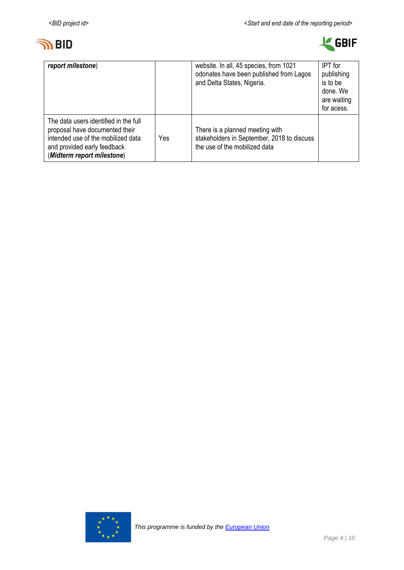



| report milestone)                                                                                                                                                          |     | website. In all, 45 species, from 1021<br>odonates have been published from Lagos<br>and Delta States, Nigeria. | <b>IPT</b> for<br>publishing<br>is to be<br>done. We<br>are waiting<br>for acess. |
|----------------------------------------------------------------------------------------------------------------------------------------------------------------------------|-----|-----------------------------------------------------------------------------------------------------------------|-----------------------------------------------------------------------------------|
| The data users identified in the full<br>proposal have documented their<br>intended use of the mobilized data<br>and provided early feedback<br>(Midterm report milestone) | Yes | There is a planned meeting with<br>stakeholders in September, 2018 to discuss<br>the use of the mobilized data  |                                                                                   |

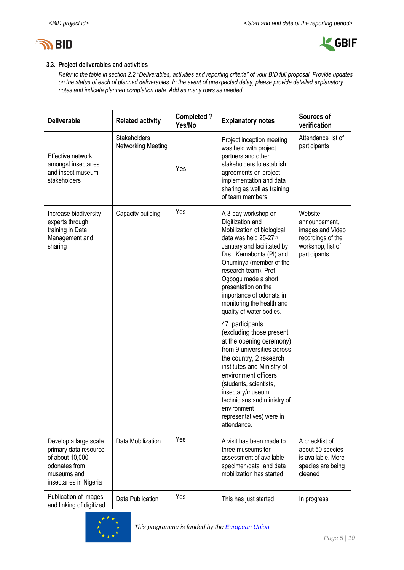



## **3.3. Project deliverables and activities**

*Refer to the table in section 2.2 "Deliverables, activities and reporting criteria" of your BID full proposal. Provide updates on the status of each of planned deliverables. In the event of unexpected delay, please provide detailed explanatory notes and indicate planned completion date. Add as many rows as needed.*

| <b>Deliverable</b>                                                                                                          | <b>Related activity</b>            | <b>Completed?</b><br>Yes/No | <b>Explanatory notes</b>                                                                                                                                                                                                                                                                                                                                                                                                                                                                                                                                                                                                                                                       | Sources of<br>verification                                                                              |
|-----------------------------------------------------------------------------------------------------------------------------|------------------------------------|-----------------------------|--------------------------------------------------------------------------------------------------------------------------------------------------------------------------------------------------------------------------------------------------------------------------------------------------------------------------------------------------------------------------------------------------------------------------------------------------------------------------------------------------------------------------------------------------------------------------------------------------------------------------------------------------------------------------------|---------------------------------------------------------------------------------------------------------|
| Effective network<br>amongst insectaries<br>and insect museum<br>stakeholders                                               | Stakeholders<br>Networking Meeting | Yes                         | Project inception meeting<br>was held with project<br>partners and other<br>stakeholders to establish<br>agreements on project<br>implementation and data<br>sharing as well as training<br>of team members.                                                                                                                                                                                                                                                                                                                                                                                                                                                                   | Attendance list of<br>participants                                                                      |
| Increase biodiversity<br>experts through<br>training in Data<br>Management and<br>sharing                                   | Capacity building                  | Yes                         | A 3-day workshop on<br>Digitization and<br>Mobilization of biological<br>data was held 25-27th<br>January and facilitated by<br>Drs. Kemabonta (PI) and<br>Onuminya (member of the<br>research team). Prof<br>Ogbogu made a short<br>presentation on the<br>importance of odonata in<br>monitoring the health and<br>quality of water bodies.<br>47 participants<br>(excluding those present<br>at the opening ceremony)<br>from 9 universities across<br>the country, 2 research<br>institutes and Ministry of<br>environment officers<br>(students, scientists,<br>insectary/museum<br>technicians and ministry of<br>environment<br>representatives) were in<br>attendance. | Website<br>announcement,<br>images and Video<br>recordings of the<br>workshop, list of<br>participants. |
| Develop a large scale<br>primary data resource<br>of about 10,000<br>odonates from<br>museums and<br>insectaries in Nigeria | Data Mobilization                  | Yes                         | A visit has been made to<br>three museums for<br>assessment of available<br>specimen/data and data<br>mobilization has started                                                                                                                                                                                                                                                                                                                                                                                                                                                                                                                                                 | A checklist of<br>about 50 species<br>is available. More<br>species are being<br>cleaned                |
| Publication of images<br>and linking of digitized                                                                           | Data Publication                   | Yes                         | This has just started                                                                                                                                                                                                                                                                                                                                                                                                                                                                                                                                                                                                                                                          | In progress                                                                                             |

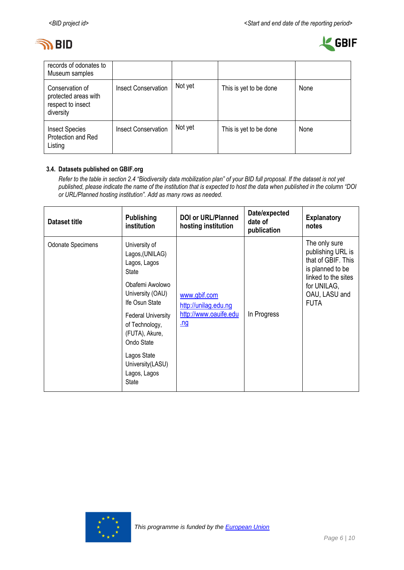



| records of odonates to<br>Museum samples                                  |                            |         |                        |      |
|---------------------------------------------------------------------------|----------------------------|---------|------------------------|------|
| Conservation of<br>protected areas with<br>respect to insect<br>diversity | <b>Insect Conservation</b> | Not yet | This is yet to be done | None |
| <b>Insect Species</b><br>Protection and Red<br>Listing                    | <b>Insect Conservation</b> | Not yet | This is yet to be done | None |

### **3.4. Datasets published on GBIF.org**

*Refer to the table in section 2.4 "Biodiversity data mobilization plan" of your BID full proposal. If the dataset is not yet published, please indicate the name of the institution that is expected to host the data when published in the column "DOI or URL/Planned hosting institution". Add as many rows as needed.*

| <b>Dataset title</b>     | <b>Publishing</b><br>institution                                            | <b>DOI or URL/Planned</b><br>hosting institution | Date/expected<br>date of<br>publication | <b>Explanatory</b><br>notes                                                                         |
|--------------------------|-----------------------------------------------------------------------------|--------------------------------------------------|-----------------------------------------|-----------------------------------------------------------------------------------------------------|
| <b>Odonate Specimens</b> | University of<br>Lagos, (UNILAG)<br>Lagos, Lagos<br><b>State</b>            |                                                  |                                         | The only sure<br>publishing URL is<br>that of GBIF. This<br>is planned to be<br>linked to the sites |
|                          | Obafemi Awolowo<br>University (OAU)<br>Ife Osun State                       | www.gbif.com<br>http://unilag.edu.ng             |                                         | for UNILAG,<br>OAU, LASU and<br><b>FUTA</b>                                                         |
|                          | <b>Federal University</b><br>of Technology,<br>(FUTA), Akure,<br>Ondo State | http://www.oauife.edu<br><u>.nq</u>              | In Progress                             |                                                                                                     |
|                          | Lagos State<br>University(LASU)<br>Lagos, Lagos<br><b>State</b>             |                                                  |                                         |                                                                                                     |

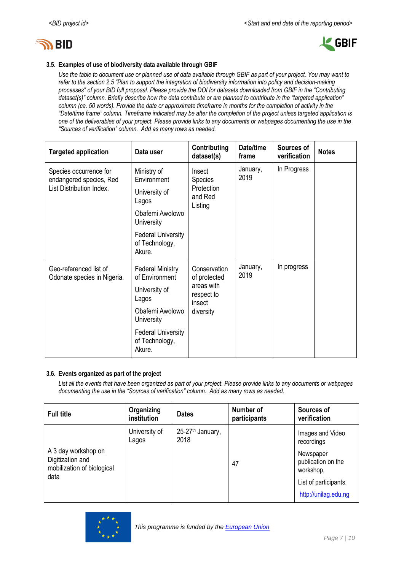



### **3.5. Examples of use of biodiversity data available through GBIF**

*Use the table to document use or planned use of data available through GBIF as part of your project. You may want to refer to the section 2.5 "Plan to support the integration of biodiversity information into policy and decision-making processes" of your BID full proposal. Please provide the DOI for datasets downloaded from GBIF in the "Contributing dataset(s)" column. Briefly describe how the data contribute or are planned to contribute in the "targeted application" column (ca. 50 words). Provide the date or approximate timeframe in months for the completion of activity in the "Date/time frame" column. Timeframe indicated may be after the completion of the project unless targeted application is one of the deliverables of your project. Please provide links to any documents or webpages documenting the use in the "Sources of verification" column. Add as many rows as needed.*

| <b>Targeted application</b>                                                   | Data user                                                                                                                                                     | Contributing<br>dataset(s)                                                      | Date/time<br>frame | Sources of<br>verification | <b>Notes</b> |
|-------------------------------------------------------------------------------|---------------------------------------------------------------------------------------------------------------------------------------------------------------|---------------------------------------------------------------------------------|--------------------|----------------------------|--------------|
| Species occurrence for<br>endangered species, Red<br>List Distribution Index. | Ministry of<br>Environment<br>University of<br>Lagos<br>Obafemi Awolowo                                                                                       | Insect<br><b>Species</b><br>Protection<br>and Red<br>Listing                    | January,<br>2019   | In Progress                |              |
|                                                                               | <b>University</b><br><b>Federal University</b><br>of Technology,<br>Akure.                                                                                    |                                                                                 |                    |                            |              |
| Geo-referenced list of<br>Odonate species in Nigeria.                         | <b>Federal Ministry</b><br>of Environment<br>University of<br>Lagos<br>Obafemi Awolowo<br>University<br><b>Federal University</b><br>of Technology,<br>Akure. | Conservation<br>of protected<br>areas with<br>respect to<br>insect<br>diversity | January,<br>2019   | In progress                |              |

#### **3.6. Events organized as part of the project**

*List all the events that have been organized as part of your project. Please provide links to any documents or webpages documenting the use in the "Sources of verification" column. Add as many rows as needed.*

| Organizing<br>institution | <b>Dates</b>                         | Number of<br>participants | Sources of<br>verification                    |
|---------------------------|--------------------------------------|---------------------------|-----------------------------------------------|
| University of<br>Lagos    | 25-27 <sup>th</sup> January,<br>2018 |                           | Images and Video<br>recordings                |
|                           |                                      | 47                        | Newspaper<br>publication on the<br>workshop,  |
|                           |                                      |                           | List of participants.<br>http://unilag.edu.ng |
|                           |                                      |                           |                                               |

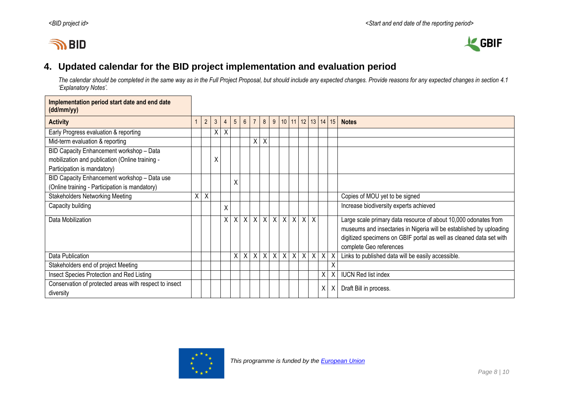# **IN BID**

 $\blacksquare$ 



# **4. Updated calendar for the BID project implementation and evaluation period**

*The calendar should be completed in the same way as in the Full Project Proposal, but should include any expected changes. Provide reasons for any expected changes in section 4.1 'Explanatory Notes'.*

<span id="page-7-0"></span>

| Implementation period start date and end date<br>(dd/mm/yy)         |   |                |   |                |                 |             |                |   |              |                                 |         |                   |         |              |   |                                                                     |
|---------------------------------------------------------------------|---|----------------|---|----------------|-----------------|-------------|----------------|---|--------------|---------------------------------|---------|-------------------|---------|--------------|---|---------------------------------------------------------------------|
| <b>Activity</b>                                                     |   | $\overline{2}$ | 3 | $\overline{4}$ | $5\overline{)}$ | $6^{\circ}$ | $\overline{1}$ | 8 | 9            |                                 |         | 10 11 12 13 14 15 |         |              |   | <b>Notes</b>                                                        |
| Early Progress evaluation & reporting                               |   |                | Χ | Χ              |                 |             |                |   |              |                                 |         |                   |         |              |   |                                                                     |
| Mid-term evaluation & reporting                                     |   |                |   |                |                 |             | X              | X |              |                                 |         |                   |         |              |   |                                                                     |
| BID Capacity Enhancement workshop - Data                            |   |                |   |                |                 |             |                |   |              |                                 |         |                   |         |              |   |                                                                     |
| mobilization and publication (Online training -                     |   |                | χ |                |                 |             |                |   |              |                                 |         |                   |         |              |   |                                                                     |
| Participation is mandatory)                                         |   |                |   |                |                 |             |                |   |              |                                 |         |                   |         |              |   |                                                                     |
| BID Capacity Enhancement workshop - Data use                        |   |                |   |                | X               |             |                |   |              |                                 |         |                   |         |              |   |                                                                     |
| (Online training - Participation is mandatory)                      |   |                |   |                |                 |             |                |   |              |                                 |         |                   |         |              |   |                                                                     |
| <b>Stakeholders Networking Meeting</b>                              | X | X              |   |                |                 |             |                |   |              |                                 |         |                   |         |              |   | Copies of MOU yet to be signed                                      |
| Capacity building                                                   |   |                |   | X              |                 |             |                |   |              |                                 |         |                   |         |              |   | Increase biodiversity experts achieved                              |
| Data Mobilization                                                   |   |                |   | $\mathsf{X}$   | $\mathsf{X}$    |             |                |   |              | $x$ $x$ $x$ $x$ $x$ $x$ $x$ $x$ |         |                   |         |              |   | Large scale primary data resource of about 10,000 odonates from     |
|                                                                     |   |                |   |                |                 |             |                |   |              |                                 |         |                   |         |              |   | museums and insectaries in Nigeria will be established by uploading |
|                                                                     |   |                |   |                |                 |             |                |   |              |                                 |         |                   |         |              |   | digitized specimens on GBIF portal as well as cleaned data set with |
|                                                                     |   |                |   |                |                 |             |                |   |              |                                 |         |                   |         |              |   | complete Geo references                                             |
| Data Publication                                                    |   |                |   |                | Χ               | X           | X              | X | $\mathsf{X}$ |                                 | $X$ $X$ | $\times$          | $\sf X$ | $\mathsf{X}$ |   | Links to published data will be easily accessible.                  |
| Stakeholders end of project Meeting                                 |   |                |   |                |                 |             |                |   |              |                                 |         |                   |         |              | Χ |                                                                     |
| Insect Species Protection and Red Listing                           |   |                |   |                |                 |             |                |   |              |                                 |         |                   |         | X            |   | <b>IUCN Red list index</b>                                          |
| Conservation of protected areas with respect to insect<br>diversity |   |                |   |                |                 |             |                |   |              |                                 |         |                   |         | χ            | X | Draft Bill in process.                                              |

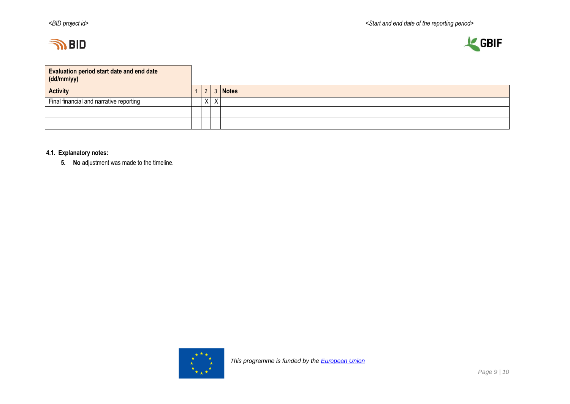



| <b>Evaluation period start date and end date</b><br>(dd/mm/yy) |          |              |
|----------------------------------------------------------------|----------|--------------|
| <b>Activity</b>                                                | $\Omega$ | <b>Notes</b> |
| Final financial and narrative reporting                        | $X \mid$ |              |
|                                                                |          |              |
|                                                                |          |              |

### **4.1. Explanatory notes:**

**5. No** adjustment was made to the timeline.